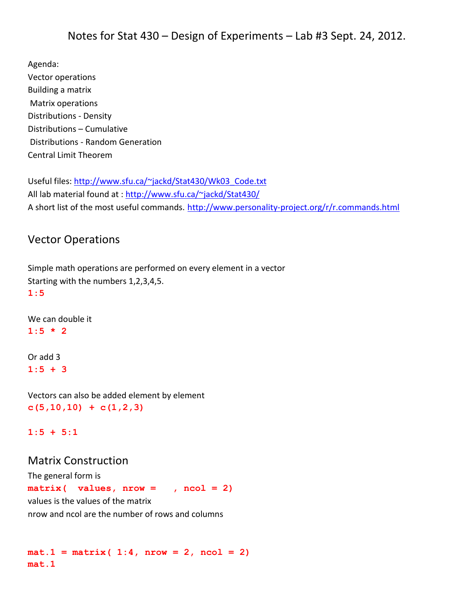Agenda: Vector operations Building a matrix Matrix operations Distributions - Density Distributions – Cumulative Distributions - Random Generation Central Limit Theorem

Useful files: [http://www.sfu.ca/~jackd/Stat430/Wk03\\_Code.txt](http://www.sfu.ca/~jackd/Stat430/Wk03_Code.txt) All lab material found at :<http://www.sfu.ca/~jackd/Stat430/> A short list of the most useful commands. <http://www.personality-project.org/r/r.commands.html>

# Vector Operations

Simple math operations are performed on every element in a vector Starting with the numbers 1,2,3,4,5. **1:5** 

We can double it  $1:5 * 2$ 

Or add 3 **1:5 + 3**

Vectors can also be added element by element **c(5,10,10) + c(1,2,3)**

**1:5 + 5:1**

## Matrix Construction

The general form is **matrix( values, nrow = , ncol = 2)** values is the values of the matrix nrow and ncol are the number of rows and columns

 $mat.1 = matrix( 1:4, nrow = 2, ncol = 2)$ **mat.1**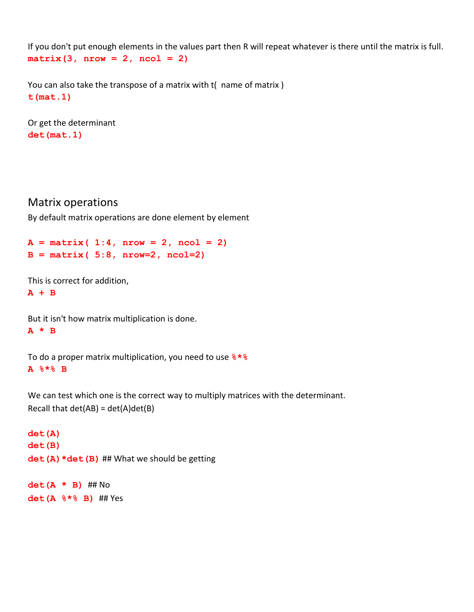If you don't put enough elements in the values part then R will repeat whatever is there until the matrix is full. **matrix(3, nrow = 2, ncol = 2)** 

You can also take the transpose of a matrix with t( name of matrix ) **t(mat.1)**

Or get the determinant **det(mat.1)**

## Matrix operations

By default matrix operations are done element by element

```
A = matrix( 1:4, nrow = 2, ncol = 2)B = matrix( 5:8, nrow=2, ncol=2)
```
This is correct for addition,

**A + B**

But it isn't how matrix multiplication is done. **A \* B**

To do a proper matrix multiplication, you need to use **%\*% A %\*% B**

We can test which one is the correct way to multiply matrices with the determinant. Recall that  $det(AB) = det(A)det(B)$ 

```
det(A)
det(B)
det (A) *det (B) ## What we should be getting
```
**det(A \* B)** ## No **det(A %\*% B)** ## Yes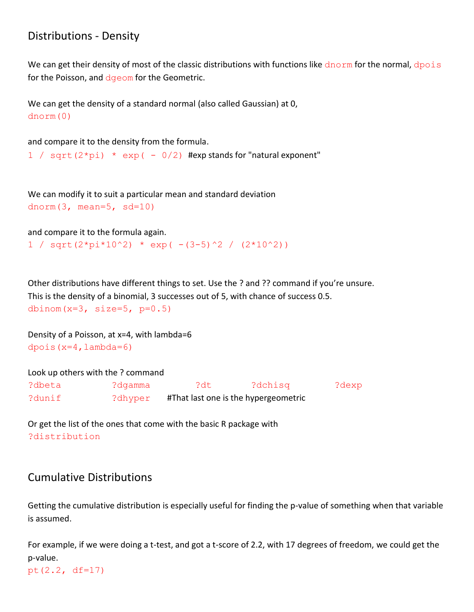# Distributions - Density

We can get their density of most of the classic distributions with functions like  $d$ norm for the normal,  $d$ pois for the Poisson, and dgeom for the Geometric.

We can get the density of a standard normal (also called Gaussian) at 0, dnorm(0)

and compare it to the density from the formula.

1 / sqrt( $2*pi$ ) \*  $exp(-0/2)$  #exp stands for "natural exponent"

We can modify it to suit a particular mean and standard deviation dnorm $(3, \text{mean}=5, \text{sd}=10)$ 

and compare it to the formula again.

 $1 / sqrt(2*pi*10^2) * exp(-3-5)^2 / (2*10^2)$ 

Other distributions have different things to set. Use the ? and ?? command if you're unsure. This is the density of a binomial, 3 successes out of 5, with chance of success 0.5. dbinom( $x=3$ , size= $5$ ,  $p=0.5$ )

Density of a Poisson, at x=4, with lambda=6 dpois $(x=4,$ lambda=6)

|        | Look up others with the ? command |                                      |         |       |
|--------|-----------------------------------|--------------------------------------|---------|-------|
| ?dbeta | ?dqamma                           | ?dt                                  | ?dchisg | ?dexp |
| ?dunif | ?dhyper                           | #That last one is the hypergeometric |         |       |

Or get the list of the ones that come with the basic R package with ?distribution

# Cumulative Distributions

Getting the cumulative distribution is especially useful for finding the p-value of something when that variable is assumed.

For example, if we were doing a t-test, and got a t-score of 2.2, with 17 degrees of freedom, we could get the p-value.

pt(2.2, df=17)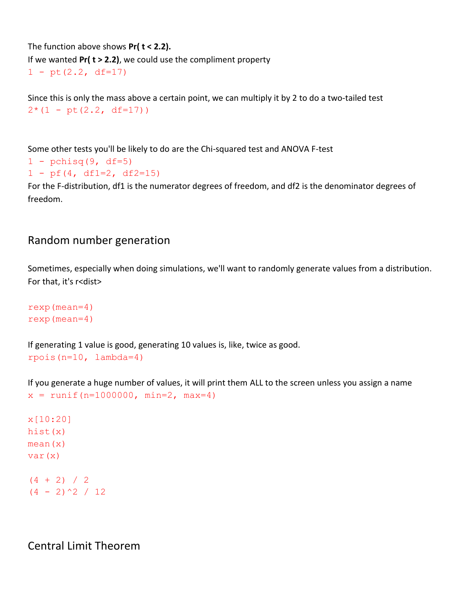The function above shows **Pr( t < 2.2).** If we wanted **Pr( t > 2.2)**, we could use the compliment property  $1 - pt(2.2, df=17)$ 

Since this is only the mass above a certain point, we can multiply it by 2 to do a two-tailed test  $2*(1 - pt(2.2, df=17))$ 

Some other tests you'll be likely to do are the Chi-squared test and ANOVA F-test

```
1 - \text{pchisq}(9, df=5)
```

```
1 - pf(4, df1=2, df2=15)
```
For the F-distribution, df1 is the numerator degrees of freedom, and df2 is the denominator degrees of freedom.

## Random number generation

Sometimes, especially when doing simulations, we'll want to randomly generate values from a distribution. For that, it's r<dist>

rexp(mean=4) rexp(mean=4)

If generating 1 value is good, generating 10 values is, like, twice as good. rpois(n=10, lambda=4)

If you generate a huge number of values, it will print them ALL to the screen unless you assign a name  $x = runif(n=1000000, min=2, max=4)$ 

x[10:20] hist(x)  $mean(x)$ var(x)  $(4 + 2) / 2$  $(4 - 2)^2$  / 12

Central Limit Theorem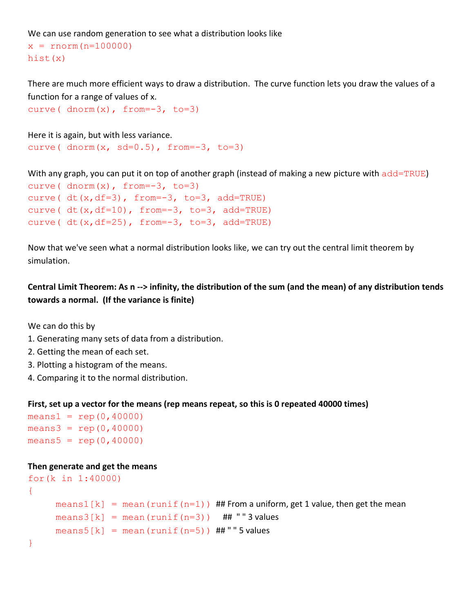We can use random generation to see what a distribution looks like

```
x = rnorm(n=100000)hist(x)
```
There are much more efficient ways to draw a distribution. The curve function lets you draw the values of a function for a range of values of x.

```
curve(dnorm(x), from = -3, to = 3)
```
Here it is again, but with less variance. curve(  $\text{dnorm}(x, \text{ sd}=0.5)$ , from=-3, to=3)

With any graph, you can put it on top of another graph (instead of making a new picture with add=TRUE)

```
curve(\text{dnorm}(x), from=-3, to=3)
curve(dt(x, df=3), from = -3, to = 3, add = TRUE)
curve( dt(x, df=10), from=-3, to=3, add=TRUE)
curve( dt(x, df=25), from=-3, to=3, add=TRUE)
```
Now that we've seen what a normal distribution looks like, we can try out the central limit theorem by simulation.

**Central Limit Theorem: As n --> infinity, the distribution of the sum (and the mean) of any distribution tends towards a normal. (If the variance is finite)**

We can do this by

- 1. Generating many sets of data from a distribution.
- 2. Getting the mean of each set.
- 3. Plotting a histogram of the means.
- 4. Comparing it to the normal distribution.

#### **First, set up a vector for the means (rep means repeat, so this is 0 repeated 40000 times)**

```
means1 = rep(0,40000)means3 = rep(0,40000)means5 = rep(0,40000)
```
#### **Then generate and get the means**

```
for(k in 1:40000)
{
     means1[k] = mean(runit(r=1)) ## From a uniform, get 1 value, then get the mean
     means3[k] = mean(runit(n=3)) ## "" 3 values
     means5[k] = mean(runit(n=5)) ##"" 5 values
}
```